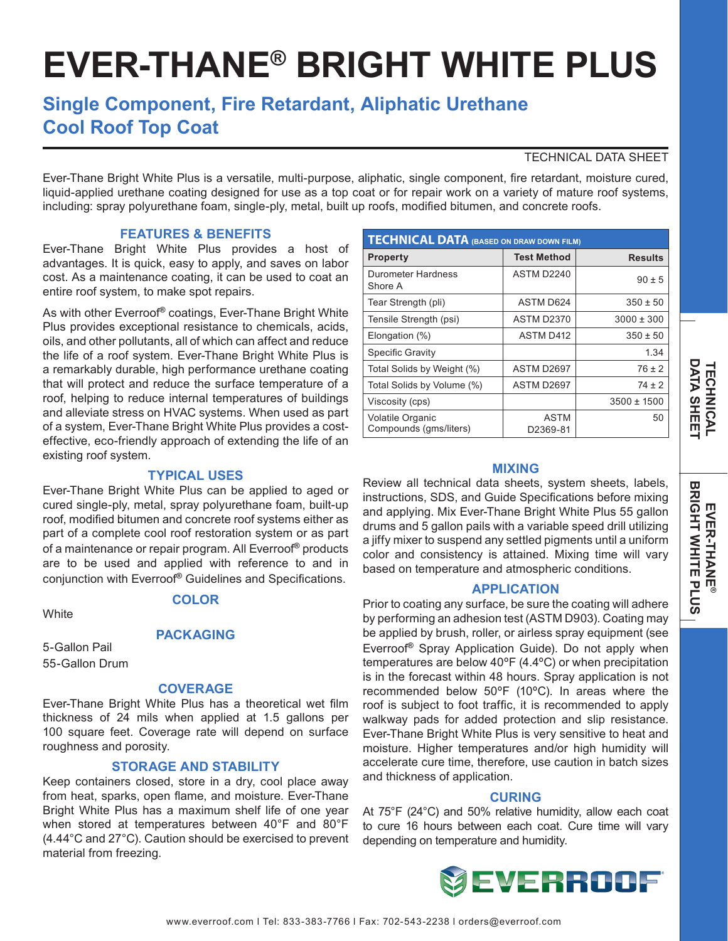# **EVER-THANE® BRIGHT WHITE PLUS**

# **Single Component, Fire Retardant, Aliphatic Urethane Cool Roof Top Coat**

# TECHNICAL DATA SHEET

Ever-Thane Bright White Plus is a versatile, multi-purpose, aliphatic, single component, fire retardant, moisture cured, liquid-applied urethane coating designed for use as a top coat or for repair work on a variety of mature roof systems, including: spray polyurethane foam, single-ply, metal, built up roofs, modified bitumen, and concrete roofs.

### **FEATURES & BENEFITS**

Ever-Thane Bright White Plus provides a host of advantages. It is quick, easy to apply, and saves on labor cost. As a maintenance coating, it can be used to coat an entire roof system, to make spot repairs.

As with other Everroof**®** coatings, Ever-Thane Bright White Plus provides exceptional resistance to chemicals, acids, oils, and other pollutants, all of which can affect and reduce the life of a roof system. Ever-Thane Bright White Plus is a remarkably durable, high performance urethane coating that will protect and reduce the surface temperature of a roof, helping to reduce internal temperatures of buildings and alleviate stress on HVAC systems. When used as part of a system, Ever-Thane Bright White Plus provides a costeffective, eco-friendly approach of extending the life of an existing roof system.

#### **TYPICAL USES**

Ever-Thane Bright White Plus can be applied to aged or cured single-ply, metal, spray polyurethane foam, built-up roof, modified bitumen and concrete roof systems either as part of a complete cool roof restoration system or as part of a maintenance or repair program. All Everroof**®** products are to be used and applied with reference to and in conjunction with Everroof**®** Guidelines and Specifications.

#### **COLOR**

**White** 

#### **PACKAGING**

5-Gallon Pail 55-Gallon Drum

#### **COVERAGE**

Ever-Thane Bright White Plus has a theoretical wet film thickness of 24 mils when applied at 1.5 gallons per 100 square feet. Coverage rate will depend on surface roughness and porosity.

#### **STORAGE AND STABILITY**

Keep containers closed, store in a dry, cool place away from heat, sparks, open flame, and moisture. Ever-Thane Bright White Plus has a maximum shelf life of one year when stored at temperatures between 40°F and 80°F (4.44°C and 27°C). Caution should be exercised to prevent material from freezing.

| <b>TECHNICAL DATA (BASED ON DRAW DOWN FILM)</b>   |                         |                 |
|---------------------------------------------------|-------------------------|-----------------|
| <b>Property</b>                                   | <b>Test Method</b>      | <b>Results</b>  |
| Durometer Hardness<br>Shore A                     | ASTM D2240              | $90 \pm 5$      |
| Tear Strength (pli)                               | ASTM D624               | $350 \pm 50$    |
| Tensile Strength (psi)                            | <b>ASTM D2370</b>       | $3000 \pm 300$  |
| Elongation (%)                                    | <b>ASTM D412</b>        | $350 \pm 50$    |
| Specific Gravity                                  |                         | 1.34            |
| Total Solids by Weight (%)                        | ASTM D2697              | $76 \pm 2$      |
| Total Solids by Volume (%)                        | ASTM D2697              | $74 \pm 2$      |
| Viscosity (cps)                                   |                         | $3500 \pm 1500$ |
| <b>Volatile Organic</b><br>Compounds (qms/liters) | <b>ASTM</b><br>D2369-81 | 50              |

#### **MIXING**

Review all technical data sheets, system sheets, labels, instructions, SDS, and Guide Specifications before mixing and applying. Mix Ever-Thane Bright White Plus 55 gallon drums and 5 gallon pails with a variable speed drill utilizing a jiffy mixer to suspend any settled pigments until a uniform color and consistency is attained. Mixing time will vary based on temperature and atmospheric conditions.

#### **APPLICATION**

Prior to coating any surface, be sure the coating will adhere by performing an adhesion test (ASTM D903). Coating may be applied by brush, roller, or airless spray equipment (see Everroof**®** Spray Application Guide). Do not apply when temperatures are below 40ºF (4.4ºC) or when precipitation is in the forecast within 48 hours. Spray application is not recommended below 50ºF (10ºC). In areas where the roof is subject to foot traffic, it is recommended to apply walkway pads for added protection and slip resistance. Ever-Thane Bright White Plus is very sensitive to heat and moisture. Higher temperatures and/or high humidity will accelerate cure time, therefore, use caution in batch sizes and thickness of application.

#### **CURING**

At 75°F (24°C) and 50% relative humidity, allow each coat to cure 16 hours between each coat. Cure time will vary depending on temperature and humidity.

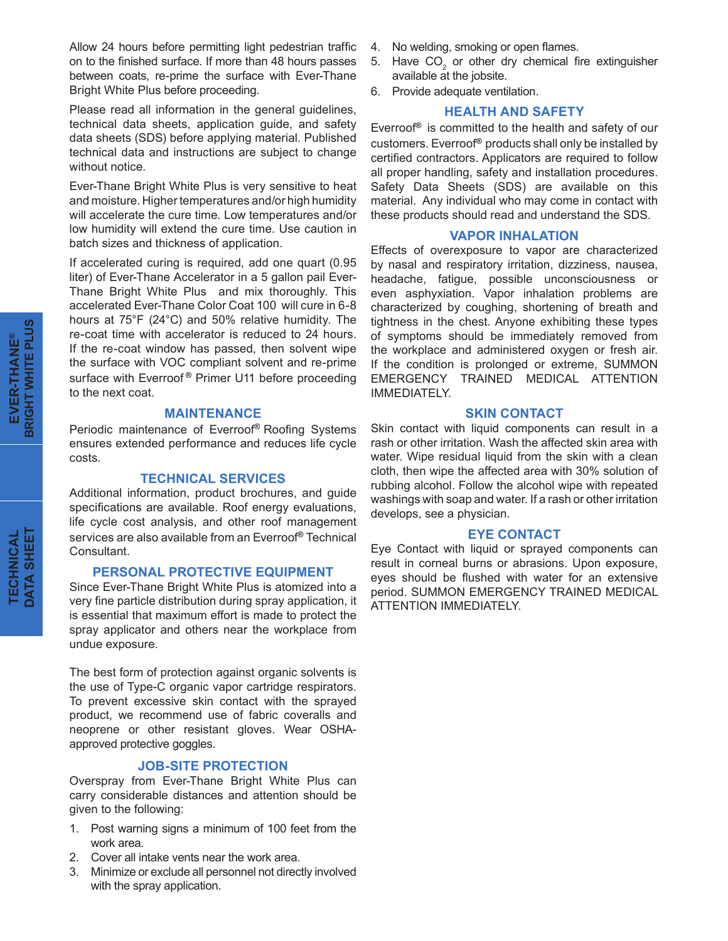Allow 24 hours before permitting light pedestrian traffic on to the finished surface. If more than 48 hours passes between coats, re-prime the surface with Ever-Thane Bright White Plus before proceeding.

Please read all information in the general guidelines, technical data sheets, application guide, and safety data sheets (SDS) before applying material. Published technical data and instructions are subject to change without notice.

Ever-Thane Bright White Plus is very sensitive to heat and moisture. Higher temperatures and/or high humidity will accelerate the cure time. Low temperatures and/or low humidity will extend the cure time. Use caution in batch sizes and thickness of application.

If accelerated curing is required, add one quart (0.95 liter) of Ever-Thane Accelerator in a 5 gallon pail Ever-Thane Bright White Plus and mix thoroughly. This accelerated Ever-Thane Color Coat 100 will cure in 6-8 hours at 75°F (24°C) and 50% relative humidity. The re-coat time with accelerator is reduced to 24 hours. If the re-coat window has passed, then solvent wipe the surface with VOC compliant solvent and re-prime surface with Everroof **®** Primer U11 before proceeding to the next coat.

#### **MAINTENANCE**

Periodic maintenance of Everroof**®** Roofing Systems ensures extended performance and reduces life cycle costs.

#### **TECHNICAL SERVICES**

Additional information, product brochures, and guide specifications are available. Roof energy evaluations, life cycle cost analysis, and other roof management services are also available from an Everroof**®** Technical Consultant.

#### **PERSONAL PROTECTIVE EQUIPMENT**

Since Ever-Thane Bright White Plus is atomized into a very fine particle distribution during spray application, it is essential that maximum effort is made to protect the spray applicator and others near the workplace from undue exposure.

The best form of protection against organic solvents is the use of Type-C organic vapor cartridge respirators. To prevent excessive skin contact with the sprayed product, we recommend use of fabric coveralls and neoprene or other resistant gloves. Wear OSHAapproved protective goggles.

## **JOB-SITE PROTECTION**

Overspray from Ever-Thane Bright White Plus can carry considerable distances and attention should be given to the following:

- 1. Post warning signs a minimum of 100 feet from the work area.
- 2. Cover all intake vents near the work area.
- 3. Minimize or exclude all personnel not directly involved with the spray application.
- 4. No welding, smoking or open flames.
- 5. Have  $CO<sub>2</sub>$  or other dry chemical fire extinguisher available at the jobsite.
- 6. Provide adequate ventilation.

#### **HEALTH AND SAFETY**

Everroof**®** is committed to the health and safety of our customers. Everroof**®** products shall only be installed by certified contractors. Applicators are required to follow all proper handling, safety and installation procedures. Safety Data Sheets (SDS) are available on this material. Any individual who may come in contact with these products should read and understand the SDS.

#### **VAPOR INHALATION**

Effects of overexposure to vapor are characterized by nasal and respiratory irritation, dizziness, nausea, headache, fatigue, possible unconsciousness or even asphyxiation. Vapor inhalation problems are characterized by coughing, shortening of breath and tightness in the chest. Anyone exhibiting these types of symptoms should be immediately removed from the workplace and administered oxygen or fresh air. If the condition is prolonged or extreme, SUMMON EMERGENCY TRAINED MEDICAL ATTENTION IMMEDIATELY.

#### **SKIN CONTACT**

Skin contact with liquid components can result in a rash or other irritation. Wash the affected skin area with water. Wipe residual liquid from the skin with a clean cloth, then wipe the affected area with 30% solution of rubbing alcohol. Follow the alcohol wipe with repeated washings with soap and water. If a rash or other irritation develops, see a physician.

#### **EYE CONTACT**

Eye Contact with liquid or sprayed components can result in corneal burns or abrasions. Upon exposure, eyes should be flushed with water for an extensive period. SUMMON EMERGENCY TRAINED MEDICAL ATTENTION IMMEDIATELY.